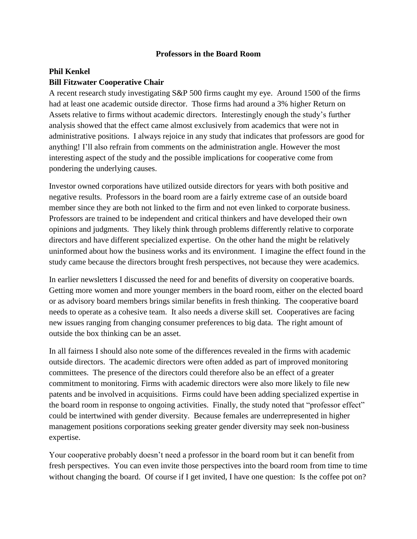## **Professors in the Board Room**

## **Phil Kenkel Bill Fitzwater Cooperative Chair**

A recent research study investigating S&P 500 firms caught my eye. Around 1500 of the firms had at least one academic outside director. Those firms had around a 3% higher Return on Assets relative to firms without academic directors. Interestingly enough the study's further analysis showed that the effect came almost exclusively from academics that were not in administrative positions. I always rejoice in any study that indicates that professors are good for anything! I'll also refrain from comments on the administration angle. However the most interesting aspect of the study and the possible implications for cooperative come from pondering the underlying causes.

Investor owned corporations have utilized outside directors for years with both positive and negative results. Professors in the board room are a fairly extreme case of an outside board member since they are both not linked to the firm and not even linked to corporate business. Professors are trained to be independent and critical thinkers and have developed their own opinions and judgments. They likely think through problems differently relative to corporate directors and have different specialized expertise. On the other hand the might be relatively uninformed about how the business works and its environment. I imagine the effect found in the study came because the directors brought fresh perspectives, not because they were academics.

In earlier newsletters I discussed the need for and benefits of diversity on cooperative boards. Getting more women and more younger members in the board room, either on the elected board or as advisory board members brings similar benefits in fresh thinking. The cooperative board needs to operate as a cohesive team. It also needs a diverse skill set. Cooperatives are facing new issues ranging from changing consumer preferences to big data. The right amount of outside the box thinking can be an asset.

In all fairness I should also note some of the differences revealed in the firms with academic outside directors. The academic directors were often added as part of improved monitoring committees. The presence of the directors could therefore also be an effect of a greater commitment to monitoring. Firms with academic directors were also more likely to file new patents and be involved in acquisitions. Firms could have been adding specialized expertise in the board room in response to ongoing activities. Finally, the study noted that "professor effect" could be intertwined with gender diversity. Because females are underrepresented in higher management positions corporations seeking greater gender diversity may seek non-business expertise.

Your cooperative probably doesn't need a professor in the board room but it can benefit from fresh perspectives. You can even invite those perspectives into the board room from time to time without changing the board. Of course if I get invited, I have one question: Is the coffee pot on?